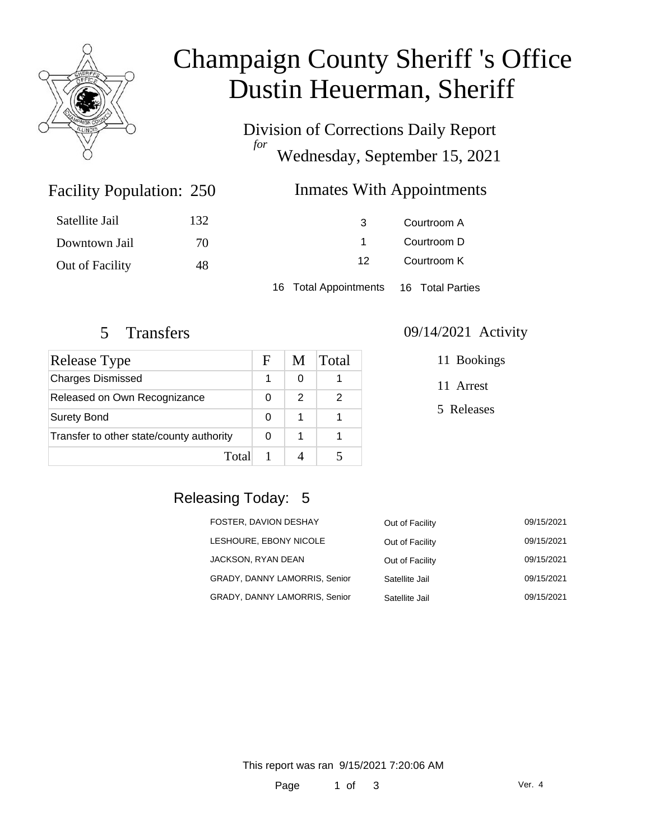

# Champaign County Sheriff 's Office Dustin Heuerman, Sheriff

Division of Corrections Daily Report *for* Wednesday, September 15, 2021

#### Inmates With Appointments

| Satellite Jail  | 132 | 3                                      | Courtroom A |  |
|-----------------|-----|----------------------------------------|-------------|--|
| Downtown Jail   | 70  |                                        | Courtroom D |  |
| Out of Facility | 48  | 12                                     | Courtroom K |  |
|                 |     | 16 Total Appointments 16 Total Parties |             |  |

Facility Population: 250

| <b>Release Type</b>                      | F | M | Total |
|------------------------------------------|---|---|-------|
| <b>Charges Dismissed</b>                 |   | O |       |
| Released on Own Recognizance             |   | 2 | 2     |
| <b>Surety Bond</b>                       |   |   |       |
| Transfer to other state/county authority |   |   |       |
| Total                                    |   |   |       |

#### 5 Transfers 09/14/2021 Activity

11 Bookings

11 Arrest

5 Releases

### Releasing Today: 5

| FOSTER, DAVION DESHAY                | Out of Facility | 09/15/2021 |
|--------------------------------------|-----------------|------------|
| LESHOURE, EBONY NICOLE               | Out of Facility | 09/15/2021 |
| JACKSON, RYAN DEAN                   | Out of Facility | 09/15/2021 |
| <b>GRADY, DANNY LAMORRIS, Senior</b> | Satellite Jail  | 09/15/2021 |
| GRADY, DANNY LAMORRIS, Senior        | Satellite Jail  | 09/15/2021 |

This report was ran 9/15/2021 7:20:06 AM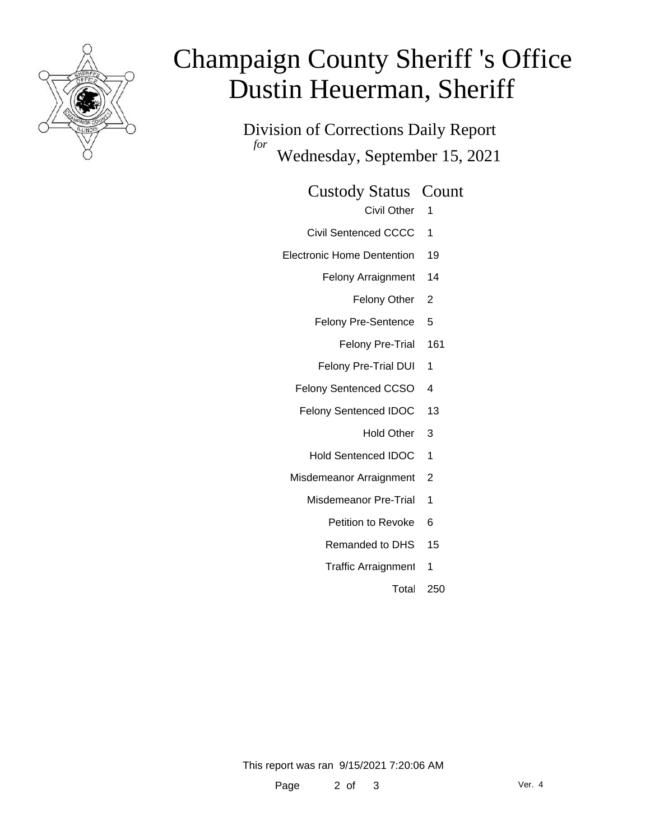

# Champaign County Sheriff 's Office Dustin Heuerman, Sheriff

Division of Corrections Daily Report *for* Wednesday, September 15, 2021

Custody Status Count

- Civil Other 1
- Civil Sentenced CCCC 1
- Electronic Home Dentention 19
	- Felony Arraignment 14
		- Felony Other 2
	- Felony Pre-Sentence 5
		- Felony Pre-Trial 161
	- Felony Pre-Trial DUI 1
	- Felony Sentenced CCSO 4
	- Felony Sentenced IDOC 13
		- Hold Other 3
		- Hold Sentenced IDOC 1
	- Misdemeanor Arraignment 2
		- Misdemeanor Pre-Trial 1
			- Petition to Revoke 6
			- Remanded to DHS 15
			- Traffic Arraignment 1
				- Total 250